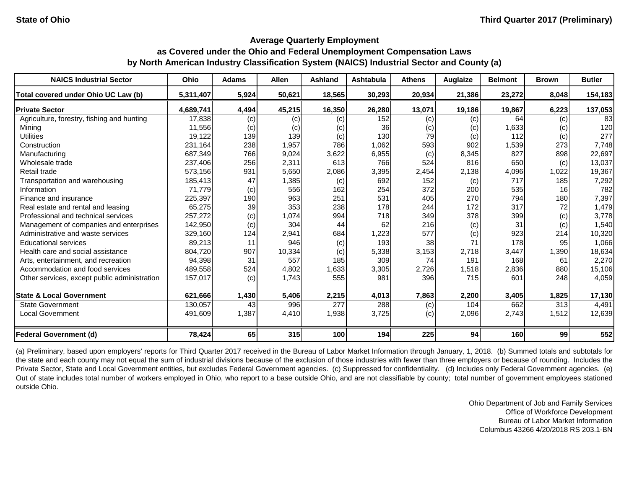#### **Average Quarterly Employment**

# **as Covered under the Ohio and Federal Unemployment Compensation Laws by North American Industry Classification System (NAICS) Industrial Sector and County (a)**

| <b>NAICS Industrial Sector</b>               | <b>Ohio</b> | <b>Adams</b> | <b>Allen</b> | <b>Ashland</b> | <b>Ashtabula</b> | <b>Athens</b> | Auglaize | <b>Belmont</b> | <b>Brown</b> | <b>Butler</b> |
|----------------------------------------------|-------------|--------------|--------------|----------------|------------------|---------------|----------|----------------|--------------|---------------|
| Total covered under Ohio UC Law (b)          | 5,311,407   | 5,924        | 50,621       | 18,565         | 30,293           | 20,934        | 21,386   | 23,272         | 8,048        | 154,183       |
| <b>Private Sector</b>                        | 4,689,741   | 4,494        | 45,215       | 16,350         | 26,280           | 13,071        | 19,186   | 19,867         | 6,223        | 137,053       |
| Agriculture, forestry, fishing and hunting   | 17,838      | (c)          | (c)          | (c)            | 152              | (c)           | (c)      | 64             | (c)          | 83            |
| Mining                                       | 11,556      | (c)          | (c)          | (c)            | 36               | (c)           | (c)      | 1,633          | (c)          | 120           |
| <b>Utilities</b>                             | 19,122      | 139          | 139          | (c)            | 130              | 79            | (c)      | 112            | (c)          | 277           |
| Construction                                 | 231,164     | 238          | 1,957        | 786            | 1,062            | 593           | 902      | 1,539          | 273          | 7,748         |
| Manufacturing                                | 687,349     | 766          | 9,024        | 3,622          | 6,955            | (c)           | 8,345    | 827            | 898          | 22,697        |
| Wholesale trade                              | 237,406     | 256          | 2,311        | 613            | 766              | 524           | 816      | 650            | (c)          | 13,037        |
| Retail trade                                 | 573,156     | 931          | 5,650        | 2,086          | 3,395            | 2,454         | 2,138    | 4,096          | 1,022        | 19,367        |
| Transportation and warehousing               | 185,413     | 47           | 1,385        | (c)            | 692              | 152           | (c)      | 717            | 185          | 7,292         |
| Information                                  | 71,779      | (c)          | 556          | 162            | 254              | 372           | 200      | 535            | 16           | 782           |
| Finance and insurance                        | 225,397     | 190          | 963          | 251            | 531              | 405           | 270      | 794            | 180          | 7,397         |
| Real estate and rental and leasing           | 65,275      | 39           | 353          | 238            | 178              | 244           | 172      | 317            | 72           | 1,479         |
| Professional and technical services          | 257,272     | (c)          | 1,074        | 994            | 718              | 349           | 378      | 399            | (c)          | 3,778         |
| Management of companies and enterprises      | 142,950     | (c)          | 304          | 44             | 62               | 216           | (c)      | 31             | (c)          | 1,540         |
| Administrative and waste services            | 329,160     | 124          | 2,941        | 684            | ,223             | 577           | (c)      | 923            | 214          | 10,320        |
| <b>Educational services</b>                  | 89,213      | 11           | 946          | (c)            | 193              | 38            | 71       | 178            | 95           | 1,066         |
| Health care and social assistance            | 804,720     | 907          | 10,334       | (c)            | 5,338            | 3,153         | 2,718    | 3,447          | 1,390        | 18,634        |
| Arts, entertainment, and recreation          | 94,398      | 31           | 557          | 185            | 309              | 74            | 191      | 168            | 61           | 2,270         |
| Accommodation and food services              | 489,558     | 524          | 4,802        | 1,633          | 3,305            | 2,726         | 1,518    | 2,836          | 880          | 15,106        |
| Other services, except public administration | 157,017     | (c)          | 1,743        | 555            | 981              | 396           | 715      | 601            | 248          | 4,059         |
| <b>State &amp; Local Government</b>          | 621,666     | 1,430        | 5,406        | 2,215          | 4,013            | 7,863         | 2,200    | 3,405          | 1,825        | 17,130        |
| <b>State Government</b>                      | 130,057     | 43           | 996          | 277            | 288              | (c)           | 104      | 662            | 313          | 4,491         |
| <b>Local Government</b>                      | 491,609     | 1,387        | 4,410        | 1,938          | 3,725            | (c)           | 2,096    | 2,743          | 1,512        | 12,639        |
| <b>Federal Government (d)</b>                | 78,424      | 65           | 315          | 100            | 194              | 225           | 94       | 160            | 99           | 552           |

(a) Preliminary, based upon employers' reports for Third Quarter 2017 received in the Bureau of Labor Market Information through January, 1, 2018. (b) Summed totals and subtotals for the state and each county may not equal the sum of industrial divisions because of the exclusion of those industries with fewer than three employers or because of rounding. Includes the Private Sector, State and Local Government entities, but excludes Federal Government agencies. (c) Suppressed for confidentiality. (d) Includes only Federal Government agencies. (e) Out of state includes total number of workers employed in Ohio, who report to a base outside Ohio, and are not classifiable by county; total number of government employees stationed outside Ohio.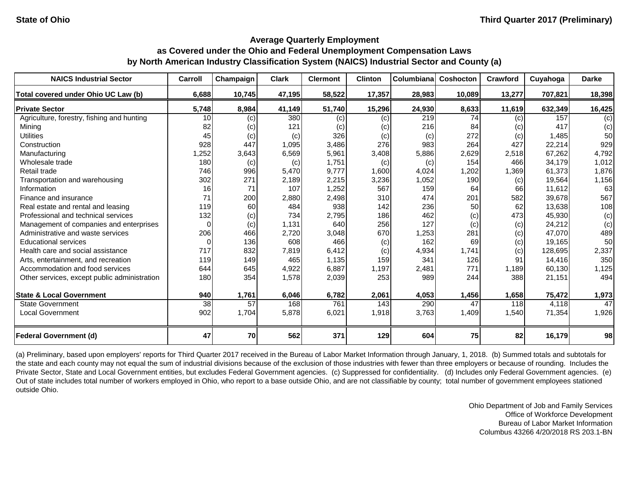| <b>NAICS Industrial Sector</b>               | Carroll | Champaign | <b>Clark</b> | <b>Clermont</b> | <b>Clinton</b> | Columbiana | <b>Coshocton</b> | Crawford | Cuyahoga | <b>Darke</b> |
|----------------------------------------------|---------|-----------|--------------|-----------------|----------------|------------|------------------|----------|----------|--------------|
| Total covered under Ohio UC Law (b)          | 6,688   | 10,745    | 47,195       | 58,522          | 17,357         | 28,983     | 10,089           | 13,277   | 707,821  | 18,398       |
| <b>Private Sector</b>                        | 5,748   | 8,984     | 41,149       | 51,740          | 15,296         | 24,930     | 8,633            | 11,619   | 632,349  | 16,425       |
| Agriculture, forestry, fishing and hunting   | 10      | (c)       | 380          | (c)             | (c)            | 219        | 74               | (c)      | 157      | (c)          |
| Mining                                       | 82      | (c)       | 121          | (c)             | (c)            | 216        | 84               | (c)      | 417      | (c)          |
| <b>Utilities</b>                             | 45      | (c)       | (c)          | 326             | (c)            | (c)        | 272              | (c)      | 1,485    | 50           |
| Construction                                 | 928     | 447       | 1,095        | 3,486           | 276            | 983        | 264              | 427      | 22,214   | 929          |
| Manufacturing                                | 1,252   | 3,643     | 6,569        | 5,961           | 3,408          | 5,886      | 2,629            | 2,518    | 67,262   | 4,792        |
| Wholesale trade                              | 180     | (c)       | (c)          | 1,751           | (c)            | (c)        | 154              | 466      | 34,179   | 1,012        |
| Retail trade                                 | 746     | 996       | 5,470        | 9,777           | 1,600          | 4,024      | 1,202            | 1,369    | 61,373   | 1,876        |
| Transportation and warehousing               | 302     | 271       | 2,189        | 2,215           | 3,236          | 1,052      | 190              | (c)      | 19,564   | 1,156        |
| Information                                  | 16      | 71        | 107          | 1,252           | 567            | 159        | 64               | 66       | 11,612   | 63           |
| Finance and insurance                        | 71      | 200       | 2,880        | 2,498           | 310            | 474        | 201              | 582      | 39,678   | 567          |
| Real estate and rental and leasing           | 119     | 60        | 484          | 938             | 142            | 236        | 50               | 62       | 13,638   | 108          |
| Professional and technical services          | 132     | (c)       | 734          | 2,795           | 186            | 462        | (c)              | 473      | 45,930   | (c)          |
| Management of companies and enterprises      |         | (c)       | 1,131        | 640             | 256            | 127        | (c)              | (c)      | 24,212   | (c)          |
| Administrative and waste services            | 206     | 466       | 2,720        | 3,048           | 670            | 1,253      | 281              | (c)      | 47,070   | 489          |
| <b>Educational services</b>                  |         | 136       | 608          | 466             | (c)            | 162        | 69               | (c)      | 19,165   | 50           |
| Health care and social assistance            | 717     | 832       | 7,819        | 6,412           | (c)            | 4,934      | 1,741            | (c)      | 128,695  | 2,337        |
| Arts, entertainment, and recreation          | 119     | 149       | 465          | 1,135           | 159            | 341        | 126              | 91       | 14,416   | 350          |
| Accommodation and food services              | 644     | 645       | 4,922        | 6,887           | 1,197          | 2,481      | 771              | 1,189    | 60,130   | 1,125        |
| Other services, except public administration | 180     | 354       | 1,578        | 2,039           | 253            | 989        | 244              | 388      | 21,151   | 494          |
| <b>State &amp; Local Government</b>          | 940     | 1,761     | 6,046        | 6,782           | 2,061          | 4,053      | 1,456            | 1,658    | 75,472   | 1,973        |
| <b>State Government</b>                      | 38      | 57        | 168          | 761             | 143            | 290        | 47               | 118      | 4,118    | 47           |
| <b>Local Government</b>                      | 902     | 1,704     | 5,878        | 6,021           | 1,918          | 3,763      | 1,409            | 1,540    | 71,354   | 1,926        |
| <b>Federal Government (d)</b>                | 47      | 70        | 562          | 371             | 129            | 604        | 75               | 82       | 16,179   | 98           |

(a) Preliminary, based upon employers' reports for Third Quarter 2017 received in the Bureau of Labor Market Information through January, 1, 2018. (b) Summed totals and subtotals for the state and each county may not equal the sum of industrial divisions because of the exclusion of those industries with fewer than three employers or because of rounding. Includes the Private Sector, State and Local Government entities, but excludes Federal Government agencies. (c) Suppressed for confidentiality. (d) Includes only Federal Government agencies. (e) Out of state includes total number of workers employed in Ohio, who report to a base outside Ohio, and are not classifiable by county; total number of government employees stationed outside Ohio.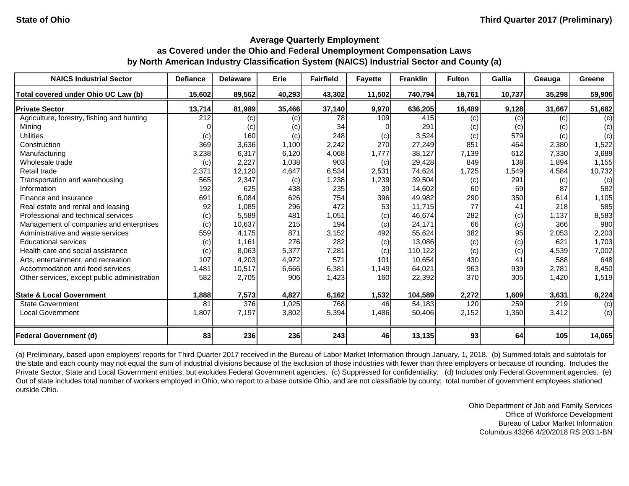| <b>NAICS Industrial Sector</b>               | <b>Defiance</b> | <b>Delaware</b> | Erie   | <b>Fairfield</b> | <b>Fayette</b> | <b>Franklin</b> | <b>Fulton</b> | Gallia | Geauga | <b>Greene</b> |
|----------------------------------------------|-----------------|-----------------|--------|------------------|----------------|-----------------|---------------|--------|--------|---------------|
| Total covered under Ohio UC Law (b)          | 15,602          | 89,562          | 40,293 | 43,302           | 11,502         | 740,794         | 18,761        | 10,737 | 35,298 | 59,906        |
| <b>Private Sector</b>                        | 13,714          | 81,989          | 35,466 | 37,140           | 9,970          | 636,205         | 16,489        | 9,128  | 31,667 | 51,682        |
| Agriculture, forestry, fishing and hunting   | 212             | (c)             | (c)    | 78               | 109            | 415             | (c)           | (c)    | (c)    | (c)           |
| Mining                                       |                 | (c)             | (c)    | 34               |                | 291             | (c)           | (c)    | (c)    | (c)           |
| <b>Utilities</b>                             | (c)             | 160             | (c)    | 248              | (c)            | 3,524           | (c)           | 579    | (c)    | (c)           |
| Construction                                 | 369             | 3,636           | 1,100  | 2,242            | 270            | 27,249          | 851           | 464    | 2,380  | 1,522         |
| Manufacturing                                | 3,238           | 6,317           | 6,120  | 4,068            | 1,777          | 38,127          | 7,139         | 612    | 7,330  | 3,689         |
| Wholesale trade                              | (c)             | 2,227           | 1,038  | 903              | (c)            | 29,428          | 849           | 138    | 1,894  | 1,155         |
| Retail trade                                 | 2,371           | 12,120          | 4,647  | 6,534            | 2,531          | 74,624          | 1,725         | 1,549  | 4,584  | 10,732        |
| Transportation and warehousing               | 565             | 2,347           | (c)    | 1,238            | 1,239          | 39,504          | (c)           | 291    | (c)    | (c)           |
| Information                                  | 192             | 625             | 438    | 235              | 39             | 14,602          | 60            | 69     | 87     | 582           |
| Finance and insurance                        | 691             | 6,084           | 626    | 754              | 396            | 49,982          | 290           | 350    | 614    | 1,105         |
| Real estate and rental and leasing           | 92              | 1,085           | 296    | 472              | 53             | 11,715          | 77            | 41     | 218    | 585           |
| Professional and technical services          | (c)             | 5,589           | 481    | 1,051            | (c)            | 46,674          | 282           | (c)    | 1,137  | 8,583         |
| Management of companies and enterprises      | (c)             | 10,637          | 215    | 194              | (c)            | 24,171          | 66            | (c)    | 366    | 980           |
| Administrative and waste services            | 559             | 4,175           | 871    | 3,152            | 492            | 55,624          | 382           | 95     | 2,053  | 2,203         |
| <b>Educational services</b>                  | (c)             | 1,161           | 276    | 282              | (c)            | 13,086          | (c)           | (c)    | 621    | 1,703         |
| Health care and social assistance            | (c)             | 8,063           | 5,377  | 7,281            | (c)            | 110,122         | (c)           | (c)    | 4,539  | 7,002         |
| Arts, entertainment, and recreation          | 107             | 4,203           | 4,972  | 571              | 101            | 10,654          | 430           | 41     | 588    | 648           |
| Accommodation and food services              | 1,481           | 10,517          | 6,666  | 6,381            | 1,149          | 64,021          | 963           | 939    | 2,781  | 8,450         |
| Other services, except public administration | 582             | 2,705           | 906    | 1,423            | 160            | 22,392          | 370           | 305    | 1,420  | 1,519         |
| <b>State &amp; Local Government</b>          | 1,888           | 7,573           | 4,827  | 6,162            | 1,532          | 104,589         | 2,272         | 1,609  | 3,631  | 8,224         |
| <b>State Government</b>                      | 81              | 376             | 1,025  | 768              | 46             | 54,183          | 120           | 259    | 219    | (c)           |
| <b>Local Government</b>                      | 1,807           | 7,197           | 3,802  | 5,394            | 1,486          | 50,406          | 2,152         | 1,350  | 3,412  | (c)           |
| <b>Federal Government (d)</b>                | 83              | 236             | 236    | 243              | 46             | 13,135          | 93            | 64     | 105    | 14,065        |

(a) Preliminary, based upon employers' reports for Third Quarter 2017 received in the Bureau of Labor Market Information through January, 1, 2018. (b) Summed totals and subtotals for the state and each county may not equal the sum of industrial divisions because of the exclusion of those industries with fewer than three employers or because of rounding. Includes the Private Sector, State and Local Government entities, but excludes Federal Government agencies. (c) Suppressed for confidentiality. (d) Includes only Federal Government agencies. (e) Out of state includes total number of workers employed in Ohio, who report to a base outside Ohio, and are not classifiable by county; total number of government employees stationed outside Ohio.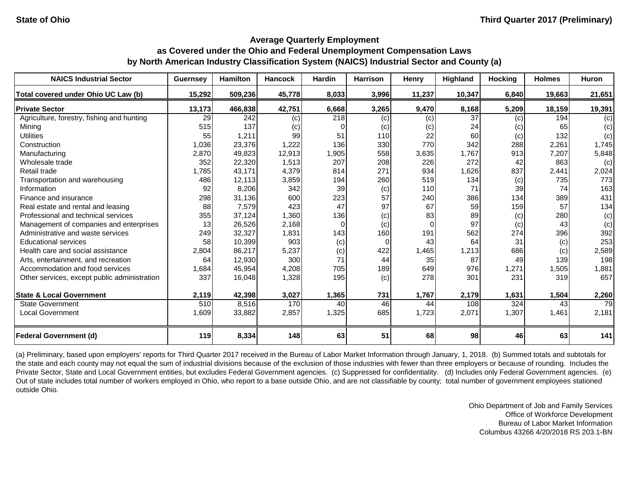| <b>NAICS Industrial Sector</b>               | <b>Guernsey</b> | <b>Hamilton</b> | <b>Hancock</b> | <b>Hardin</b> | <b>Harrison</b> | <b>Henry</b> | <b>Highland</b> | <b>Hocking</b> | <b>Holmes</b> | Huron  |
|----------------------------------------------|-----------------|-----------------|----------------|---------------|-----------------|--------------|-----------------|----------------|---------------|--------|
| Total covered under Ohio UC Law (b)          | 15,292          | 509,236         | 45,778         | 8,033         | 3,996           | 11,237       | 10,347          | 6,840          | 19,663        | 21,651 |
| <b>Private Sector</b>                        | 13,173          | 466,838         | 42,751         | 6,668         | 3,265           | 9,470        | 8,168           | 5,209          | 18,159        | 19,391 |
| Agriculture, forestry, fishing and hunting   | 29              | 242             | (c)            | 218           | (c)             | (c)          | 37              | (c)            | 194           | (c)    |
| Mining                                       | 515             | 137             | (c)            | 0             | (c)             | (c)          | 24              | (c)            | 65            | (c)    |
| <b>Utilities</b>                             | 55              | 1,211           | 99             | 51            | 110             | 22           | 60              | (c)            | 132           | (c)    |
| Construction                                 | 1,036           | 23,376          | 1,222          | 136           | 330             | 770          | 342             | 288            | 2,261         | 1,745  |
| Manufacturing                                | 2,870           | 49,823          | 12,913         | 1,905         | 558             | 3,635        | 1,767           | 913            | 7,207         | 5,848  |
| Wholesale trade                              | 352             | 22,320          | 1,513          | 207           | 208             | 226          | 272             | 42             | 863           | (c)    |
| Retail trade                                 | 1,785           | 43,171          | 4,379          | 814           | 271             | 934          | 1,626           | 837            | 2,441         | 2,024  |
| Transportation and warehousing               | 486             | 12,113          | 3,859          | 194           | 260             | 519          | 134             | (c)            | 735           | 773    |
| Information                                  | 92              | 8,206           | 342            | 39            | (c)             | 110          | 71              | 39             | 74            | 163    |
| Finance and insurance                        | 298             | 31,136          | 600            | 223           | 57              | 240          | 386             | 134            | 389           | 431    |
| Real estate and rental and leasing           | 88              | 7,579           | 423            | 47            | 97              | 67           | 59              | 159            | 57            | 134    |
| Professional and technical services          | 355             | 37,124          | 1,360          | 136           | (c)             | 83           | 89              | (c)            | 280           | (c)    |
| Management of companies and enterprises      | 13              | 26,526          | 2,168          | $\Omega$      | (c)             | $\Omega$     | 97              | (c)            | 43            | (c)    |
| Administrative and waste services            | 249             | 32,327          | 1,831          | 143           | 160             | 191          | 562             | 274            | 396           | 392    |
| <b>Educational services</b>                  | 58              | 10,399          | 903            | (c)           | 0               | 43           | 64              | 31             | (c)           | 253    |
| Health care and social assistance            | 2,804           | 86,217          | 5,237          | (c)           | 422             | 1,465        | ,213            | 686            | (c)           | 2,589  |
| Arts, entertainment, and recreation          | 64              | 12,930          | 300            | 71            | 44              | 35           | 87              | 49             | 139           | 198    |
| Accommodation and food services              | 1,684           | 45,954          | 4,208          | 705           | 189             | 649          | 976             | 1,271          | 1,505         | 1,881  |
| Other services, except public administration | 337             | 16,048          | 1,328          | 195           | (c)             | 278          | 301             | 231            | 319           | 657    |
| <b>State &amp; Local Government</b>          | 2,119           | 42,398          | 3,027          | 1,365         | 731             | 1,767        | 2,179           | 1,631          | 1,504         | 2,260  |
| <b>State Government</b>                      | 510             | 8,516           | 170            | 40            | 46              | 44           | 108             | 324            | 43            | 79     |
| <b>Local Government</b>                      | 1,609           | 33,882          | 2,857          | 1,325         | 685             | 1,723        | 2,071           | 1,307          | 1,461         | 2,181  |
| <b>Federal Government (d)</b>                | 119             | 8,334           | 148            | 63            | 51              | 68           | 98              | 46             | 63            | 141    |

(a) Preliminary, based upon employers' reports for Third Quarter 2017 received in the Bureau of Labor Market Information through January, 1, 2018. (b) Summed totals and subtotals for the state and each county may not equal the sum of industrial divisions because of the exclusion of those industries with fewer than three employers or because of rounding. Includes the Private Sector, State and Local Government entities, but excludes Federal Government agencies. (c) Suppressed for confidentiality. (d) Includes only Federal Government agencies. (e) Out of state includes total number of workers employed in Ohio, who report to a base outside Ohio, and are not classifiable by county; total number of government employees stationed outside Ohio.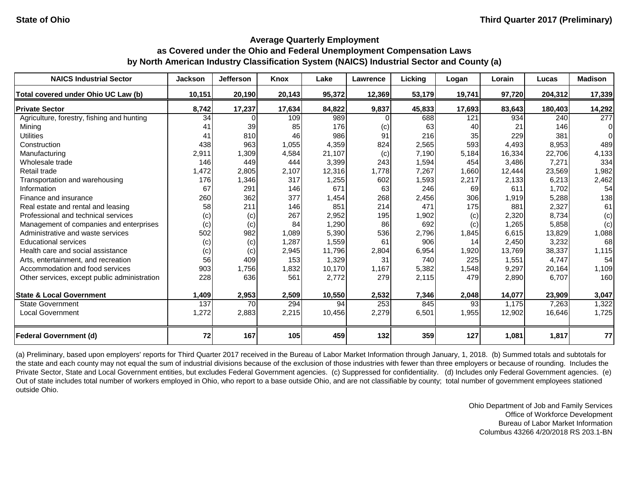| <b>NAICS Industrial Sector</b>               | <b>Jackson</b> | <b>Jefferson</b> | <b>Knox</b> | Lake   | <b>Lawrence</b> | <b>Licking</b> | Logan  | Lorain | Lucas   | <b>Madison</b>   |
|----------------------------------------------|----------------|------------------|-------------|--------|-----------------|----------------|--------|--------|---------|------------------|
| Total covered under Ohio UC Law (b)          | 10,151         | 20,190           | 20,143      | 95,372 | 12,369          | 53,179         | 19,741 | 97,720 | 204,312 | 17,339           |
| <b>Private Sector</b>                        | 8,742          | 17,237           | 17,634      | 84,822 | 9,837           | 45,833         | 17,693 | 83,643 | 180,403 | 14,292           |
| Agriculture, forestry, fishing and hunting   | 34             |                  | 109         | 989    |                 | 688            | 121    | 934    | 240     | $\overline{277}$ |
| Mining                                       | 41             | 39               | 85          | 176    | (c)             | 63             | 40     | 21     | 146     | $\Omega$         |
| <b>Utilities</b>                             | 41             | 810              | 46          | 986    | 91              | 216            | 35     | 229    | 381     | $\Omega$         |
| Construction                                 | 438            | 963              | 1,055       | 4,359  | 824             | 2,565          | 593    | 4,493  | 8,953   | 489              |
| Manufacturing                                | 2,911          | 1,309            | 4,584       | 21,107 | (c)             | 7,190          | 5,184  | 16,334 | 22,706  | 4,133            |
| Wholesale trade                              | 146            | 449              | 444         | 3,399  | 243             | 1,594          | 454    | 3,486  | 7,271   | 334              |
| Retail trade                                 | 1,472          | 2,805            | 2,107       | 12,316 | 1,778           | 7,267          | 1,660  | 12,444 | 23,569  | 1,982            |
| Transportation and warehousing               | 176            | 1,346            | 317         | 1,255  | 602             | 1,593          | 2,217  | 2,133  | 6,213   | 2,462            |
| Information                                  | 67             | 291              | 146         | 671    | 63              | 246            | 69     | 611    | 1,702   | 54               |
| Finance and insurance                        | 260            | 362              | 377         | 1,454  | 268             | 2,456          | 306    | 1,919  | 5,288   | 138              |
| Real estate and rental and leasing           | 58             | 211              | 146         | 851    | 214             | 471            | 175    | 881    | 2,327   | 61               |
| Professional and technical services          | (c)            | (c)              | 267         | 2,952  | 195             | 1,902          | (c)    | 2,320  | 8,734   | (c)              |
| Management of companies and enterprises      | (c)            | (c)              | 84          | 1,290  | 86              | 692            | (c)    | 1,265  | 5,858   | (c)              |
| Administrative and waste services            | 502            | 982              | 1,089       | 5,390  | 536             | 2,796          | 1,845  | 6,615  | 13,829  | 1,088            |
| <b>Educational services</b>                  | (c)            | (c)              | 1,287       | 1,559  | 61              | 906            | 14     | 2,450  | 3,232   | 68               |
| Health care and social assistance            | (c)            | (c)              | 2,945       | 11,796 | 2,804           | 6,954          | 1,920  | 13,769 | 38,337  | 1,115            |
| Arts, entertainment, and recreation          | 56             | 409              | 153         | 1,329  | 31              | 740            | 225    | 1,551  | 4,747   | 54               |
| Accommodation and food services              | 903            | 1,756            | 1,832       | 10,170 | 1,167           | 5,382          | 1,548  | 9,297  | 20,164  | 1,109            |
| Other services, except public administration | 228            | 636              | 561         | 2,772  | 279             | 2,115          | 479    | 2,890  | 6,707   | 160              |
| <b>State &amp; Local Government</b>          | 1,409          | 2,953            | 2,509       | 10,550 | 2,532           | 7,346          | 2,048  | 14,077 | 23,909  | 3,047            |
| <b>State Government</b>                      | 137            | 70               | 294         | 94     | 253             | 845            | 93     | 1,175  | 7,263   | 1,322            |
| <b>Local Government</b>                      | 1,272          | 2,883            | 2,215       | 10,456 | 2,279           | 6,501          | 1,955  | 12,902 | 16,646  | 1,725            |
| <b>Federal Government (d)</b>                | 72             | 167              | 105         | 459    | 132             | 359            | 127    | 1,081  | 1,817   | 77               |

(a) Preliminary, based upon employers' reports for Third Quarter 2017 received in the Bureau of Labor Market Information through January, 1, 2018. (b) Summed totals and subtotals for the state and each county may not equal the sum of industrial divisions because of the exclusion of those industries with fewer than three employers or because of rounding. Includes the Private Sector, State and Local Government entities, but excludes Federal Government agencies. (c) Suppressed for confidentiality. (d) Includes only Federal Government agencies. (e) Out of state includes total number of workers employed in Ohio, who report to a base outside Ohio, and are not classifiable by county; total number of government employees stationed outside Ohio.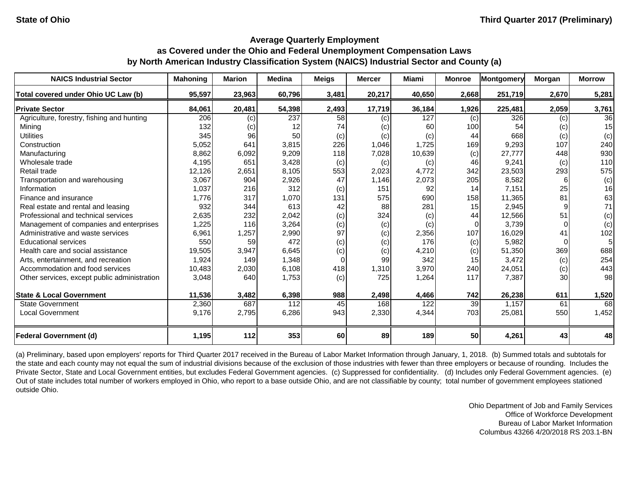| <b>NAICS Industrial Sector</b>               | <b>Mahoning</b> | <b>Marion</b> | <b>Medina</b> | <b>Meigs</b> | <b>Mercer</b> | <b>Miami</b> | <b>Monroe</b> | Montgomery | Morgan | <b>Morrow</b>  |
|----------------------------------------------|-----------------|---------------|---------------|--------------|---------------|--------------|---------------|------------|--------|----------------|
| Total covered under Ohio UC Law (b)          | 95,597          | 23,963        | 60,796        | 3,481        | 20,217        | 40,650       | 2,668         | 251,719    | 2,670  | 5,281          |
| <b>Private Sector</b>                        | 84,061          | 20,481        | 54,398        | 2,493        | 17,719        | 36,184       | 1,926         | 225,481    | 2,059  | 3,761          |
| Agriculture, forestry, fishing and hunting   | 206             | (c)           | 237           | 58           | (c)           | 127          | (c)           | 326        | (c)    | 36             |
| Mining                                       | 132             | (c)           | 12            | 74           | (c)           | 60           | 100           | 54         | (c)    | 15             |
| <b>Utilities</b>                             | 345             | 96            | 50            | (c)          | (c)           | (c)          | 44            | 668        | (c)    | (c)            |
| Construction                                 | 5,052           | 641           | 3,815         | 226          | 1,046         | 1,725        | 169           | 9,293      | 107    | 240            |
| Manufacturing                                | 8,862           | 6,092         | 9,209         | 118          | 7,028         | 10,639       | (c)           | 27,777     | 448    | 930            |
| Wholesale trade                              | 4,195           | 651           | 3,428         | (c)          | (c)           | (c)          | 46            | 9,241      | (c)    | 110            |
| Retail trade                                 | 12,126          | 2,651         | 8,105         | 553          | 2,023         | 4,772        | 342           | 23,503     | 293    | 575            |
| Transportation and warehousing               | 3,067           | 904           | 2,926         | 47           | 1,146         | 2,073        | 205           | 8,582      | 6      | (c)            |
| Information                                  | 1,037           | 216           | 312           | (c)          | 151           | 92           | 14            | 7,151      | 25     | 16             |
| Finance and insurance                        | 1,776           | 317           | 1,070         | 131          | 575           | 690          | 158           | 11,365     | 81     | 63             |
| Real estate and rental and leasing           | 932             | 344           | 613           | 42           | 88            | 281          | 15            | 2,945      |        | 71             |
| Professional and technical services          | 2,635           | 232           | 2,042         | (c)          | 324           | (c)          | 44            | 12,566     | 51     | (c)            |
| Management of companies and enterprises      | 1,225           | 116           | 3,264         | (c)          | (c)           | (c)          | $\Omega$      | 3,739      |        | (c)            |
| Administrative and waste services            | 6,961           | 1,257         | 2,990         | 97           | (c)           | 2,356        | 107           | 16,029     | 41     | 102            |
| <b>Educational services</b>                  | 550             | 59            | 472           | (c)          | (c)           | 176          | (c)           | 5,982      |        | 5 <sub>l</sub> |
| Health care and social assistance            | 19,505          | 3,947         | 6,645         | (c)          | (c)           | 4,210        | (c)           | 51,350     | 369    | 688            |
| Arts, entertainment, and recreation          | 1,924           | 149           | 1,348         | 0            | 99            | 342          | 15            | 3,472      | (c)    | 254            |
| Accommodation and food services              | 10,483          | 2,030         | 6,108         | 418          | 1,310         | 3,970        | 240           | 24,051     | (c)    | 443            |
| Other services, except public administration | 3,048           | 640           | 1,753         | (c)          | 725           | 1,264        | 117           | 7,387      | 30     | 98             |
| <b>State &amp; Local Government</b>          | 11,536          | 3,482         | 6,398         | 988          | 2,498         | 4,466        | 742           | 26,238     | 611    | 1,520          |
| <b>State Government</b>                      | 2,360           | 687           | 112           | 45           | 168           | 122          | 39            | 1,157      | 61     | 68             |
| <b>Local Government</b>                      | 9,176           | 2,795         | 6,286         | 943          | 2,330         | 4,344        | 703           | 25,081     | 550    | 1,452          |
| <b>Federal Government (d)</b>                | 1,195           | 112           | 353           | 60           | 89            | 189          | 50            | 4,261      | 43     | 48             |

(a) Preliminary, based upon employers' reports for Third Quarter 2017 received in the Bureau of Labor Market Information through January, 1, 2018. (b) Summed totals and subtotals for the state and each county may not equal the sum of industrial divisions because of the exclusion of those industries with fewer than three employers or because of rounding. Includes the Private Sector, State and Local Government entities, but excludes Federal Government agencies. (c) Suppressed for confidentiality. (d) Includes only Federal Government agencies. (e) Out of state includes total number of workers employed in Ohio, who report to a base outside Ohio, and are not classifiable by county; total number of government employees stationed outside Ohio.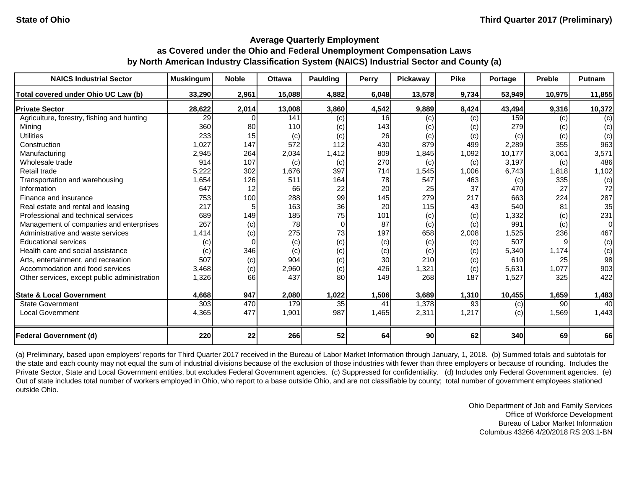| <b>NAICS Industrial Sector</b>               | <b>Muskingum</b> | <b>Noble</b> | <b>Ottawa</b> | <b>Paulding</b> | Perry | Pickaway | <b>Pike</b> | Portage | <b>Preble</b> | Putnam   |
|----------------------------------------------|------------------|--------------|---------------|-----------------|-------|----------|-------------|---------|---------------|----------|
| Total covered under Ohio UC Law (b)          | 33,290           | 2,961        | 15,088        | 4,882           | 6,048 | 13,578   | 9,734       | 53,949  | 10,975        | 11,855   |
| <b>Private Sector</b>                        | 28,622           | 2,014        | 13,008        | 3,860           | 4,542 | 9,889    | 8,424       | 43,494  | 9,316         | 10,372   |
| Agriculture, forestry, fishing and hunting   | 29               |              | 141           | (c)             | 16    | (c)      | (c)         | 159     | (c)           | (c)      |
| Mining                                       | 360              | 80           | 110           | (c)             | 143   | (c)      | (c)         | 279     | (c)           | (c)      |
| <b>Utilities</b>                             | 233              | 15           | (c)           | (c)             | 26    | (c)      | (c)         | (c)     | (c)           | (c)      |
| Construction                                 | 1,027            | 147          | 572           | 112             | 430   | 879      | 499         | 2,289   | 355           | 963      |
| Manufacturing                                | 2,945            | 264          | 2,034         | 1,412           | 809   | 1,845    | 1,092       | 10,177  | 3,061         | 3,571    |
| Wholesale trade                              | 914              | 107          | (c)           | (c)             | 270   | (c)      | (c)         | 3,197   | (c)           | 486      |
| Retail trade                                 | 5,222            | 302          | 1,676         | 397             | 714   | 1,545    | 1,006       | 6,743   | 1,818         | 1,102    |
| Transportation and warehousing               | 1,654            | 126          | 511           | 164             | 78    | 547      | 463         | (c)     | 335           | (c)      |
| Information                                  | 647              | 12           | 66            | 22              | 20    | 25       | 37          | 470     | 27            | 72       |
| Finance and insurance                        | 753              | 100          | 288           | 99              | 145   | 279      | 217         | 663     | 224           | 287      |
| Real estate and rental and leasing           | 217              |              | 163           | 36              | 20    | 115      | 43          | 540     | 81            | 35       |
| Professional and technical services          | 689              | 149          | 185           | 75              | 101   | (c)      | (c)         | 1,332   | (c)           | 231      |
| Management of companies and enterprises      | 267              | (c)          | 78            | $\Omega$        | 87    | (c)      | (c)         | 991     | (c)           | $\Omega$ |
| Administrative and waste services            | 1,414            | (c)          | 275           | 73              | 197   | 658      | 2,008       | 1,525   | 236           | 467      |
| <b>Educational services</b>                  | (c)              | $\Omega$     | (c)           | (c)             | (c)   | (c)      | (c)         | 507     |               | (c)      |
| Health care and social assistance            | (c)              | 346          | (c)           | (c)             | (c)   | (c)      | (c)         | 5,340   | 1,174         | (c)      |
| Arts, entertainment, and recreation          | 507              | (c)          | 904           | (c)             | 30    | 210      | (c)         | 610     | 25            | 98       |
| Accommodation and food services              | 3,468            | (c)          | 2,960         | (c)             | 426   | 1,321    | (c)         | 5,631   | 1,077         | 903      |
| Other services, except public administration | 1,326            | 66           | 437           | 80              | 149   | 268      | 187         | 1,527   | 325           | 422      |
| <b>State &amp; Local Government</b>          | 4,668            | 947          | 2,080         | 1,022           | 1,506 | 3,689    | 1,310       | 10,455  | 1,659         | 1,483    |
| <b>State Government</b>                      | 303              | 470          | 179           | 35              | 41    | 1,378    | 93          | (c)     | 90            | 40       |
| <b>Local Government</b>                      | 4,365            | 477          | 1,901         | 987             | 1,465 | 2,311    | 1,217       | (c)     | 1,569         | 1,443    |
| <b>Federal Government (d)</b>                | 220              | 22           | 266           | 52              | 64    | 90       | 62          | 340     | 69            | 66       |

(a) Preliminary, based upon employers' reports for Third Quarter 2017 received in the Bureau of Labor Market Information through January, 1, 2018. (b) Summed totals and subtotals for the state and each county may not equal the sum of industrial divisions because of the exclusion of those industries with fewer than three employers or because of rounding. Includes the Private Sector, State and Local Government entities, but excludes Federal Government agencies. (c) Suppressed for confidentiality. (d) Includes only Federal Government agencies. (e) Out of state includes total number of workers employed in Ohio, who report to a base outside Ohio, and are not classifiable by county; total number of government employees stationed outside Ohio.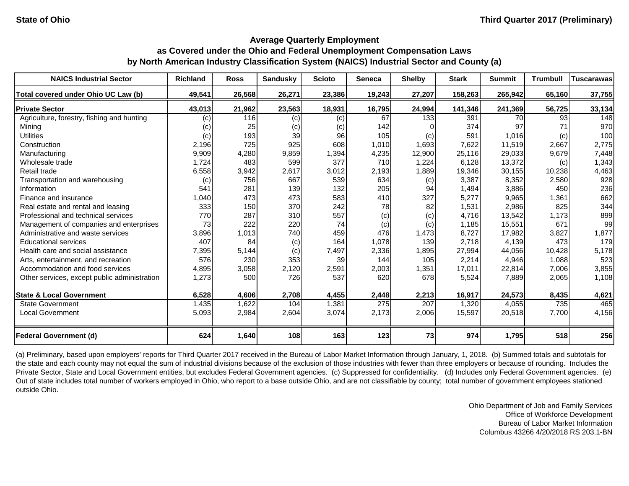| <b>NAICS Industrial Sector</b>               | <b>Richland</b> | <b>Ross</b> | <b>Sandusky</b> | <b>Scioto</b> | <b>Seneca</b> | <b>Shelby</b> | <b>Stark</b> | <b>Summit</b> | <b>Trumbull</b> | <b>Tuscarawas</b> |
|----------------------------------------------|-----------------|-------------|-----------------|---------------|---------------|---------------|--------------|---------------|-----------------|-------------------|
| Total covered under Ohio UC Law (b)          | 49,541          | 26,568      | 26,271          | 23,386        | 19,243        | 27,207        | 158,263      | 265,942       | 65,160          | 37,755            |
| <b>Private Sector</b>                        | 43,013          | 21,962      | 23,563          | 18,931        | 16,795        | 24,994        | 141,346      | 241,369       | 56,725          | 33,134            |
| Agriculture, forestry, fishing and hunting   | (c)             | 116         | (c)             | (c)           | 67            | 133           | 391          | 70            | 93              | 148               |
| Mining                                       | (c)             | 25          | (c)             | (c)           | 142           |               | 374          | 97            | 71              | 970               |
| <b>Utilities</b>                             | (c)             | 193         | 39              | 96            | 105           | (c)           | 591          | 1,016         | (c)             | 100               |
| Construction                                 | 2,196           | 725         | 925             | 608           | 1,010         | 1,693         | 7,622        | 11,519        | 2,667           | 2,775             |
| Manufacturing                                | 9,909           | 4,280       | 9,859           | 1,394         | 4,235         | 12,900        | 25,116       | 29,033        | 9,679           | 7,448             |
| Wholesale trade                              | 1,724           | 483         | 599             | 377           | 710           | 1,224         | 6,128        | 13,372        | (c)             | 1,343             |
| Retail trade                                 | 6,558           | 3,942       | 2,617           | 3,012         | 2,193         | 1,889         | 19,346       | 30,155        | 10,238          | 4,463             |
| Transportation and warehousing               | (c)             | 756         | 667             | 539           | 634           | (c)           | 3,387        | 8,352         | 2,580           | 928               |
| Information                                  | 541             | 281         | 139             | 132           | 205           | 94            | 1,494        | 3,886         | 450             | 236               |
| Finance and insurance                        | 1,040           | 473         | 473             | 583           | 410           | 327           | 5,277        | 9,965         | 1,361           | 662               |
| Real estate and rental and leasing           | 333             | 150         | 370             | 242           | 78            | 82            | 1,531        | 2,986         | 825             | 344               |
| Professional and technical services          | 770             | 287         | 310             | 557           | (c)           | (c)           | 4,716        | 13,542        | 1,173           | 899               |
| Management of companies and enterprises      | 73              | 222         | 220             | 74            | (c)           | (c)           | 1,185        | 15,551        | 671             | 99                |
| Administrative and waste services            | 3,896           | 1,013       | 740             | 459           | 476           | 1,473         | 8,727        | 17,982        | 3,827           | 1,877             |
| <b>Educational services</b>                  | 407             | 84          | (c)             | 164           | 1,078         | 139           | 2,718        | 4,139         | 473             | 179               |
| Health care and social assistance            | 7,395           | 5,144       | (c)             | 7,497         | 2,336         | 1,895         | 27,994       | 44,056        | 10,428          | 5,178             |
| Arts, entertainment, and recreation          | 576             | 230         | 353             | 39            | 144           | 105           | 2,214        | 4,946         | 1,088           | 523               |
| Accommodation and food services              | 4,895           | 3,058       | 2,120           | 2,591         | 2,003         | 1,351         | 17,011       | 22,814        | 7,006           | 3,855             |
| Other services, except public administration | 1,273           | 500         | 726             | 537           | 620           | 678           | 5,524        | 7,889         | 2,065           | 1,108             |
| <b>State &amp; Local Government</b>          | 6,528           | 4,606       | 2,708           | 4,455         | 2,448         | 2,213         | 16,917       | 24,573        | 8,435           | 4,621             |
| <b>State Government</b>                      | 1,435           | 1,622       | 104             | 1,381         | 275           | 207           | 1,320        | 4,055         | 735             | 465               |
| <b>Local Government</b>                      | 5,093           | 2,984       | 2,604           | 3,074         | 2,173         | 2,006         | 15,597       | 20,518        | 7,700           | 4,156             |
| <b>Federal Government (d)</b>                | 624             | 1,640       | 108             | 163           | 123           | 73            | 974          | 1,795         | 518             | 256               |

(a) Preliminary, based upon employers' reports for Third Quarter 2017 received in the Bureau of Labor Market Information through January, 1, 2018. (b) Summed totals and subtotals for the state and each county may not equal the sum of industrial divisions because of the exclusion of those industries with fewer than three employers or because of rounding. Includes the Private Sector, State and Local Government entities, but excludes Federal Government agencies. (c) Suppressed for confidentiality. (d) Includes only Federal Government agencies. (e) Out of state includes total number of workers employed in Ohio, who report to a base outside Ohio, and are not classifiable by county; total number of government employees stationed outside Ohio.